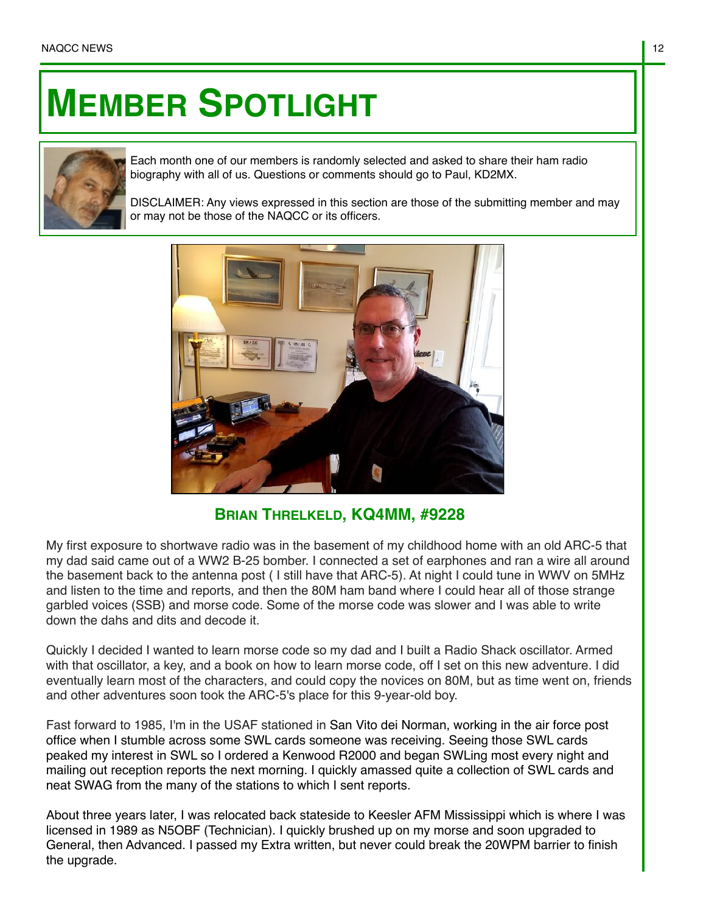## **MEMBER SPOTLIGHT**



Each month one of our members is randomly selected and asked to share their ham radio biography with all of us. Questions or comments should go to Paul, KD2MX.

DISCLAIMER: Any views expressed in this section are those of the submitting member and may or may not be those of the NAQCC or its officers.



**BRIAN THRELKELD, KQ4MM, #9228**

My first exposure to shortwave radio was in the basement of my childhood home with an old ARC-5 that my dad said came out of a WW2 B-25 bomber. I connected a set of earphones and ran a wire all around the basement back to the antenna post ( I still have that ARC-5). At night I could tune in WWV on 5MHz and listen to the time and reports, and then the 80M ham band where I could hear all of those strange garbled voices (SSB) and morse code. Some of the morse code was slower and I was able to write down the dahs and dits and decode it.

Quickly I decided I wanted to learn morse code so my dad and I built a Radio Shack oscillator. Armed with that oscillator, a key, and a book on how to learn morse code, off I set on this new adventure. I did eventually learn most of the characters, and could copy the novices on 80M, but as time went on, friends and other adventures soon took the ARC-5's place for this 9-year-old boy.

Fast forward to 1985, I'm in the USAF stationed in San Vito dei Norman, working in the air force post office when I stumble across some SWL cards someone was receiving. Seeing those SWL cards peaked my interest in SWL so I ordered a Kenwood R2000 and began SWLing most every night and mailing out reception reports the next morning. I quickly amassed quite a collection of SWL cards and neat SWAG from the many of the stations to which I sent reports.

About three years later, I was relocated back stateside to Keesler AFM Mississippi which is where I was licensed in 1989 as N5OBF (Technician). I quickly brushed up on my morse and soon upgraded to General, then Advanced. I passed my Extra written, but never could break the 20WPM barrier to finish the upgrade.